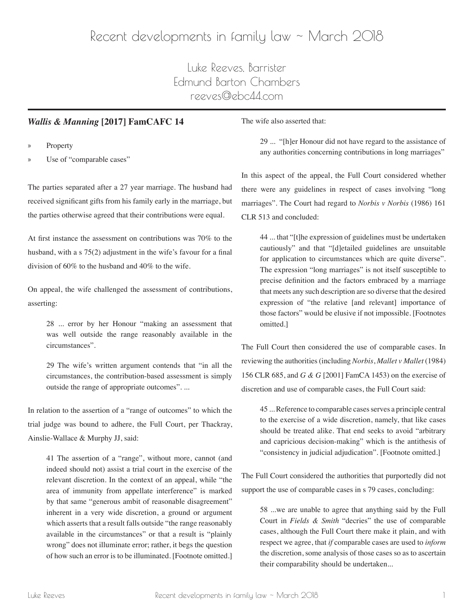# Recent developments in family law ~ March 2018

Luke Reeves, Barrister Edmund Barton Chambers reeves@ebc44.com

# *Wallis & Manning* **[2017] FamCAFC 14**

- » Property
- Use of "comparable cases"

The parties separated after a 27 year marriage. The husband had received significant gifts from his family early in the marriage, but the parties otherwise agreed that their contributions were equal.

At first instance the assessment on contributions was 70% to the husband, with a s 75(2) adjustment in the wife's favour for a final division of 60% to the husband and 40% to the wife.

On appeal, the wife challenged the assessment of contributions, asserting:

28 ... error by her Honour "making an assessment that was well outside the range reasonably available in the circumstances".

29 The wife's written argument contends that "in all the circumstances, the contribution-based assessment is simply outside the range of appropriate outcomes". ...

In relation to the assertion of a "range of outcomes" to which the trial judge was bound to adhere, the Full Court, per Thackray, Ainslie-Wallace & Murphy JJ, said:

41 The assertion of a "range", without more, cannot (and indeed should not) assist a trial court in the exercise of the relevant discretion. In the context of an appeal, while "the area of immunity from appellate interference" is marked by that same "generous ambit of reasonable disagreement" inherent in a very wide discretion, a ground or argument which asserts that a result falls outside "the range reasonably available in the circumstances" or that a result is "plainly wrong" does not illuminate error; rather, it begs the question of how such an error is to be illuminated. [Footnote omitted.]

The wife also asserted that:

29 ... "[h]er Honour did not have regard to the assistance of any authorities concerning contributions in long marriages"

In this aspect of the appeal, the Full Court considered whether there were any guidelines in respect of cases involving "long marriages". The Court had regard to *Norbis v Norbis* (1986) 161 CLR 513 and concluded:

44 ... that "[t]he expression of guidelines must be undertaken cautiously" and that "[d]etailed guidelines are unsuitable for application to circumstances which are quite diverse". The expression "long marriages" is not itself susceptible to precise definition and the factors embraced by a marriage that meets any such description are so diverse that the desired expression of "the relative [and relevant] importance of those factors" would be elusive if not impossible. [Footnotes omitted.]

The Full Court then considered the use of comparable cases. In reviewing the authorities (including *Norbis*, *Mallet v Mallet* (1984) 156 CLR 685, and *G & G* [2001] FamCA 1453) on the exercise of discretion and use of comparable cases, the Full Court said:

45 ... Reference to comparable cases serves a principle central to the exercise of a wide discretion, namely, that like cases should be treated alike. That end seeks to avoid "arbitrary and capricious decision-making" which is the antithesis of "consistency in judicial adjudication". [Footnote omitted.]

The Full Court considered the authorities that purportedly did not support the use of comparable cases in s 79 cases, concluding:

58 ...we are unable to agree that anything said by the Full Court in *Fields & Smith* "decries" the use of comparable cases, although the Full Court there make it plain, and with respect we agree, that *if* comparable cases are used to *inform* the discretion, some analysis of those cases so as to ascertain their comparability should be undertaken...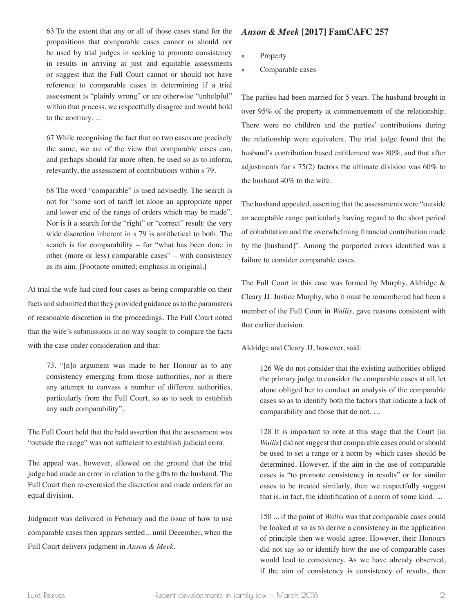63 To the extent that any or all of those cases stand for the propositions that comparable cases cannot or should not be used by trial judges in seeking to promote consistency in results in arriving at just and equitable assessments or suggest that the Full Court cannot or should not have reference to comparable cases in determining if a trial assessment is "plainly wrong" or are otherwise "unhelpful" within that process, we respectfully disagree and would hold to the contrary. ...

67 While recognising the fact that no two cases are precisely the same, we are of the view that comparable cases can, and perhaps should far more often, be used so as to inform, relevantly, the assessment of contributions within s 79.

68 The word "comparable" is used advisedly. The search is not for "some sort of tariff let alone an appropriate upper and lower end of the range of orders which may be made". Nor is it a search for the "right" or "correct" result: the very wide discretion inherent in s 79 is antithetical to both. The search is for comparability – for "what has been done in other (more or less) comparable cases" – with consistency as its aim. [Footnote omitted; emphasis in original.]

At trial the wife had cited four cases as being comparable on their facts and submitted that they provided guidance as to the paramaters of reasonable discretion in the proceedings. The Full Court noted that the wife's submissions in no way sought to compare the facts with the case under consideration and that:

73. "[n]o argument was made to her Honour as to any consistency emerging from those authorities, nor is there any attempt to canvass a number of different authorities, particularly from the Full Court, so as to seek to establish any such comparability".

The Full Court held that the bald assertion that the assessment was "outside the range" was not sufficient to establish judicial error.

The appeal was, however, allowed on the ground that the trial judge had made an error in relation to the gifts to the husband. The Full Court then re-exercsied the discretion and made orders for an equal division.

Judgment was delivered in February and the issue of how to use comparable cases then appears settled... until December, when the Full Court delivers judgment in *Anson & Meek.*

# *Anson & Meek* **[2017] FamCAFC 257**

- » Property
- » Comparable cases

The parties had been married for 5 years. The husband brought in over 95% of the property at commencement of the relationship. There were no children and the parties' contributions during the relationship were equivalent. The trial judge found that the husband's contribution based entitlement was 80%, and that after adjustments for s 75(2) factors the ultimate division was 60% to the husband 40% to the wife.

The husband appealed, asserting that the assessments were "outside an acceptable range particularly having regard to the short period of cohabitation and the overwhelming financial contribution made by the [husband]". Among the purported errors identified was a failure to consider comparable cases.

The Full Court in this case was formed by Murphy, Aldridge & Cleary JJ. Justice Murphy, who it must be remembered had been a member of the Full Court in *Wallis*, gave reasons consistent with that earlier decision.

Aldridge and Cleary JJ, however, said:

126 We do not consider that the existing authorities obliged the primary judge to consider the comparable cases at all, let alone obliged her to conduct an analysis of the comparable cases so as to identify both the factors that indicate a lack of comparability and those that do not. …

128 It is important to note at this stage that the Court [in *Wallis*] did not suggest that comparable cases could or should be used to set a range or a norm by which cases should be determined. However, if the aim in the use of comparable cases is "to promote consistency in results" or for similar cases to be treated similarly, then we respectfully suggest that is, in fact, the identification of a norm of some kind. ...

150 ... if the point of *Wallis* was that comparable cases could be looked at so as to derive a consistency in the application of principle then we would agree. However, their Honours did not say so or identify how the use of comparable cases would lead to consistency. As we have already observed, if the aim of consistency is consistency of results, then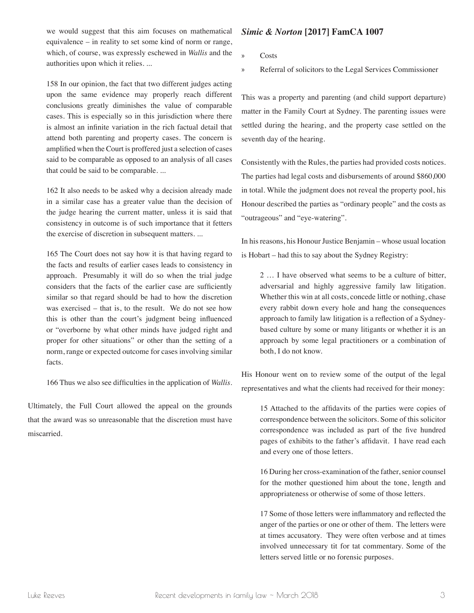we would suggest that this aim focuses on mathematical equivalence – in reality to set some kind of norm or range, which, of course, was expressly eschewed in *Wallis* and the authorities upon which it relies. ...

158 In our opinion, the fact that two different judges acting upon the same evidence may properly reach different conclusions greatly diminishes the value of comparable cases. This is especially so in this jurisdiction where there is almost an infinite variation in the rich factual detail that attend both parenting and property cases. The concern is amplified when the Court is proffered just a selection of cases said to be comparable as opposed to an analysis of all cases that could be said to be comparable. ...

162 It also needs to be asked why a decision already made in a similar case has a greater value than the decision of the judge hearing the current matter, unless it is said that consistency in outcome is of such importance that it fetters the exercise of discretion in subsequent matters. ...

165 The Court does not say how it is that having regard to the facts and results of earlier cases leads to consistency in approach. Presumably it will do so when the trial judge considers that the facts of the earlier case are sufficiently similar so that regard should be had to how the discretion was exercised – that is, to the result. We do not see how this is other than the court's judgment being influenced or "overborne by what other minds have judged right and proper for other situations" or other than the setting of a norm, range or expected outcome for cases involving similar facts.

166 Thus we also see difficulties in the application of *Wallis*.

Ultimately, the Full Court allowed the appeal on the grounds that the award was so unreasonable that the discretion must have miscarried.

# *Simic & Norton* **[2017] FamCA 1007**

- » Costs
- » Referral of solicitors to the Legal Services Commissioner

This was a property and parenting (and child support departure) matter in the Family Court at Sydney. The parenting issues were settled during the hearing, and the property case settled on the seventh day of the hearing.

Consistently with the Rules, the parties had provided costs notices. The parties had legal costs and disbursements of around \$860,000 in total. While the judgment does not reveal the property pool, his Honour described the parties as "ordinary people" and the costs as "outrageous" and "eye-watering".

In his reasons, his Honour Justice Benjamin – whose usual location is Hobart – had this to say about the Sydney Registry:

2 … I have observed what seems to be a culture of bitter, adversarial and highly aggressive family law litigation. Whether this win at all costs, concede little or nothing, chase every rabbit down every hole and hang the consequences approach to family law litigation is a reflection of a Sydneybased culture by some or many litigants or whether it is an approach by some legal practitioners or a combination of both, I do not know.

His Honour went on to review some of the output of the legal representatives and what the clients had received for their money:

15 Attached to the affidavits of the parties were copies of correspondence between the solicitors. Some of this solicitor correspondence was included as part of the five hundred pages of exhibits to the father's affidavit. I have read each and every one of those letters.

16 During her cross-examination of the father, senior counsel for the mother questioned him about the tone, length and appropriateness or otherwise of some of those letters.

17 Some of those letters were inflammatory and reflected the anger of the parties or one or other of them. The letters were at times accusatory. They were often verbose and at times involved unnecessary tit for tat commentary. Some of the letters served little or no forensic purposes.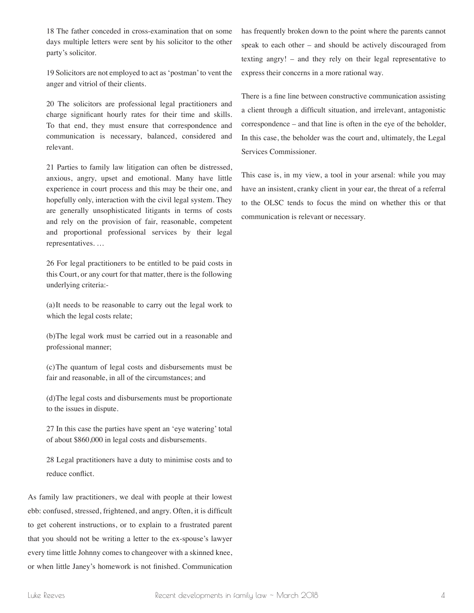18 The father conceded in cross-examination that on some days multiple letters were sent by his solicitor to the other party's solicitor.

19 Solicitors are not employed to act as 'postman' to vent the anger and vitriol of their clients.

20 The solicitors are professional legal practitioners and charge significant hourly rates for their time and skills. To that end, they must ensure that correspondence and communication is necessary, balanced, considered and relevant.

21 Parties to family law litigation can often be distressed, anxious, angry, upset and emotional. Many have little experience in court process and this may be their one, and hopefully only, interaction with the civil legal system. They are generally unsophisticated litigants in terms of costs and rely on the provision of fair, reasonable, competent and proportional professional services by their legal representatives. …

26 For legal practitioners to be entitled to be paid costs in this Court, or any court for that matter, there is the following underlying criteria:-

(a)It needs to be reasonable to carry out the legal work to which the legal costs relate;

(b)The legal work must be carried out in a reasonable and professional manner;

(c)The quantum of legal costs and disbursements must be fair and reasonable, in all of the circumstances; and

(d)The legal costs and disbursements must be proportionate to the issues in dispute.

27 In this case the parties have spent an 'eye watering' total of about \$860,000 in legal costs and disbursements.

28 Legal practitioners have a duty to minimise costs and to reduce conflict.

As family law practitioners, we deal with people at their lowest ebb: confused, stressed, frightened, and angry. Often, it is difficult to get coherent instructions, or to explain to a frustrated parent that you should not be writing a letter to the ex-spouse's lawyer every time little Johnny comes to changeover with a skinned knee, or when little Janey's homework is not finished. Communication

has frequently broken down to the point where the parents cannot speak to each other – and should be actively discouraged from texting angry! – and they rely on their legal representative to express their concerns in a more rational way.

There is a fine line between constructive communication assisting a client through a difficult situation, and irrelevant, antagonistic correspondence – and that line is often in the eye of the beholder, In this case, the beholder was the court and, ultimately, the Legal Services Commissioner.

This case is, in my view, a tool in your arsenal: while you may have an insistent, cranky client in your ear, the threat of a referral to the OLSC tends to focus the mind on whether this or that communication is relevant or necessary.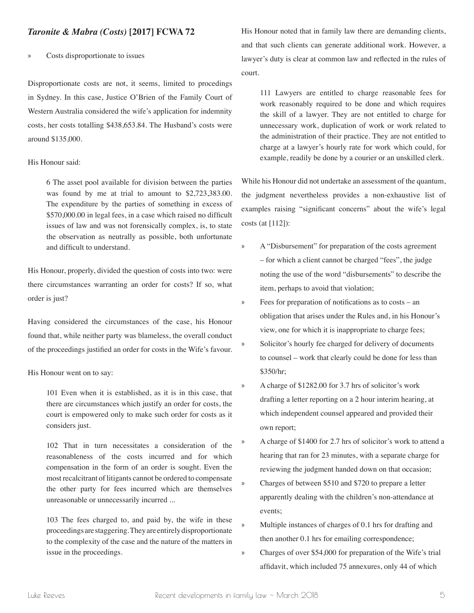# *Taronite & Mabra (Costs)* **[2017] FCWA 72**

#### » Costs disproportionate to issues

Disproportionate costs are not, it seems, limited to procedings in Sydney. In this case, Justice O'Brien of the Family Court of Western Australia considered the wife's application for indemnity costs, her costs totalling \$438,653.84. The Husband's costs were around \$135,000.

## His Honour said:

6 The asset pool available for division between the parties was found by me at trial to amount to \$2,723,383.00. The expenditure by the parties of something in excess of \$570,000.00 in legal fees, in a case which raised no difficult issues of law and was not forensically complex, is, to state the observation as neutrally as possible, both unfortunate and difficult to understand.

His Honour, properly, divided the question of costs into two: were there circumstances warranting an order for costs? If so, what order is just?

Having considered the circumstances of the case, his Honour found that, while neither party was blameless, the overall conduct of the proceedings justified an order for costs in the Wife's favour.

His Honour went on to say:

101 Even when it is established, as it is in this case, that there are circumstances which justify an order for costs, the court is empowered only to make such order for costs as it considers just.

102 That in turn necessitates a consideration of the reasonableness of the costs incurred and for which compensation in the form of an order is sought. Even the most recalcitrant of litigants cannot be ordered to compensate the other party for fees incurred which are themselves unreasonable or unnecessarily incurred ...

103 The fees charged to, and paid by, the wife in these proceedings are staggering. They are entirely disproportionate to the complexity of the case and the nature of the matters in issue in the proceedings.

His Honour noted that in family law there are demanding clients, and that such clients can generate additional work. However, a lawyer's duty is clear at common law and reflected in the rules of court.

111 Lawyers are entitled to charge reasonable fees for work reasonably required to be done and which requires the skill of a lawyer. They are not entitled to charge for unnecessary work, duplication of work or work related to the administration of their practice. They are not entitled to charge at a lawyer's hourly rate for work which could, for example, readily be done by a courier or an unskilled clerk.

While his Honour did not undertake an assessment of the quantum, the judgment nevertheless provides a non-exhaustive list of examples raising "significant concerns" about the wife's legal costs (at [112]):

- » A "Disbursement" for preparation of the costs agreement – for which a client cannot be charged "fees", the judge noting the use of the word "disbursements" to describe the item, perhaps to avoid that violation;
- » Fees for preparation of notifications as to costs an obligation that arises under the Rules and, in his Honour's view, one for which it is inappropriate to charge fees;
- » Solicitor's hourly fee charged for delivery of documents to counsel – work that clearly could be done for less than \$350/hr;
- » A charge of \$1282.00 for 3.7 hrs of solicitor's work drafting a letter reporting on a 2 hour interim hearing, at which independent counsel appeared and provided their own report;
- » A charge of \$1400 for 2.7 hrs of solicitor's work to attend a hearing that ran for 23 minutes, with a separate charge for reviewing the judgment handed down on that occasion;
- » Charges of between \$510 and \$720 to prepare a letter apparently dealing with the children's non-attendance at events;
- » Multiple instances of charges of 0.1 hrs for drafting and then another 0.1 hrs for emailing correspondence;
- » Charges of over \$54,000 for preparation of the Wife's trial affidavit, which included 75 annexures, only 44 of which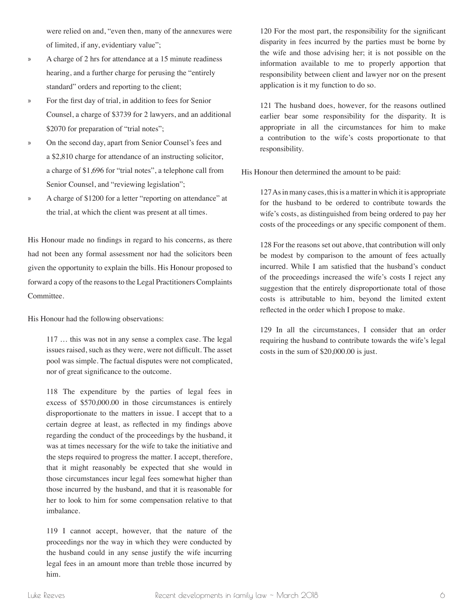were relied on and, "even then, many of the annexures were of limited, if any, evidentiary value";

- » A charge of 2 hrs for attendance at a 15 minute readiness hearing, and a further charge for perusing the "entirely standard" orders and reporting to the client;
- » For the first day of trial, in addition to fees for Senior Counsel, a charge of \$3739 for 2 lawyers, and an additional \$2070 for preparation of "trial notes";
- » On the second day, apart from Senior Counsel's fees and a \$2,810 charge for attendance of an instructing solicitor, a charge of \$1,696 for "trial notes", a telephone call from Senior Counsel, and "reviewing legislation";
- » A charge of \$1200 for a letter "reporting on attendance" at the trial, at which the client was present at all times.

His Honour made no findings in regard to his concerns, as there had not been any formal assessment nor had the solicitors been given the opportunity to explain the bills. His Honour proposed to forward a copy of the reasons to the Legal Practitioners Complaints Committee.

His Honour had the following observations:

117 … this was not in any sense a complex case. The legal issues raised, such as they were, were not difficult. The asset pool was simple. The factual disputes were not complicated, nor of great significance to the outcome.

118 The expenditure by the parties of legal fees in excess of \$570,000.00 in those circumstances is entirely disproportionate to the matters in issue. I accept that to a certain degree at least, as reflected in my findings above regarding the conduct of the proceedings by the husband, it was at times necessary for the wife to take the initiative and the steps required to progress the matter. I accept, therefore, that it might reasonably be expected that she would in those circumstances incur legal fees somewhat higher than those incurred by the husband, and that it is reasonable for her to look to him for some compensation relative to that imbalance.

119 I cannot accept, however, that the nature of the proceedings nor the way in which they were conducted by the husband could in any sense justify the wife incurring legal fees in an amount more than treble those incurred by him.

120 For the most part, the responsibility for the significant disparity in fees incurred by the parties must be borne by the wife and those advising her; it is not possible on the information available to me to properly apportion that responsibility between client and lawyer nor on the present application is it my function to do so.

121 The husband does, however, for the reasons outlined earlier bear some responsibility for the disparity. It is appropriate in all the circumstances for him to make a contribution to the wife's costs proportionate to that responsibility.

His Honour then determined the amount to be paid:

127 As in many cases, this is a matter in which it is appropriate for the husband to be ordered to contribute towards the wife's costs, as distinguished from being ordered to pay her costs of the proceedings or any specific component of them.

128 For the reasons set out above, that contribution will only be modest by comparison to the amount of fees actually incurred. While I am satisfied that the husband's conduct of the proceedings increased the wife's costs I reject any suggestion that the entirely disproportionate total of those costs is attributable to him, beyond the limited extent reflected in the order which I propose to make.

129 In all the circumstances, I consider that an order requiring the husband to contribute towards the wife's legal costs in the sum of \$20,000.00 is just.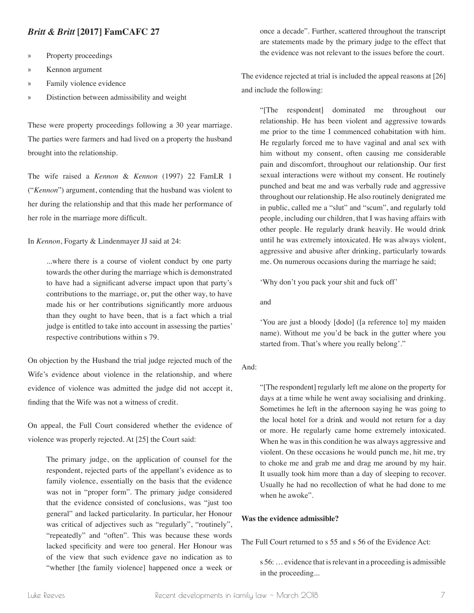# *Britt & Britt* **[2017] FamCAFC 27**

- » Property proceedings
- » Kennon argument
- » Family violence evidence
- » Distinction between admissibility and weight

These were property proceedings following a 30 year marriage. The parties were farmers and had lived on a property the husband brought into the relationship.

The wife raised a *Kennon* & *Kennon* (1997) 22 FamLR 1 ("*Kennon*") argument, contending that the husband was violent to her during the relationship and that this made her performance of her role in the marriage more difficult.

In *Kennon*, Fogarty & Lindenmayer JJ said at 24:

...where there is a course of violent conduct by one party towards the other during the marriage which is demonstrated to have had a significant adverse impact upon that party's contributions to the marriage, or, put the other way, to have made his or her contributions significantly more arduous than they ought to have been, that is a fact which a trial judge is entitled to take into account in assessing the parties' respective contributions within s 79.

On objection by the Husband the trial judge rejected much of the Wife's evidence about violence in the relationship, and where evidence of violence was admitted the judge did not accept it, finding that the Wife was not a witness of credit.

On appeal, the Full Court considered whether the evidence of violence was properly rejected. At [25] the Court said:

The primary judge, on the application of counsel for the respondent, rejected parts of the appellant's evidence as to family violence, essentially on the basis that the evidence was not in "proper form". The primary judge considered that the evidence consisted of conclusions, was "just too general" and lacked particularity. In particular, her Honour was critical of adjectives such as "regularly", "routinely", "repeatedly" and "often". This was because these words lacked specificity and were too general. Her Honour was of the view that such evidence gave no indication as to "whether [the family violence] happened once a week or once a decade". Further, scattered throughout the transcript are statements made by the primary judge to the effect that the evidence was not relevant to the issues before the court.

The evidence rejected at trial is included the appeal reasons at [26] and include the following:

"[The respondent] dominated me throughout our relationship. He has been violent and aggressive towards me prior to the time I commenced cohabitation with him. He regularly forced me to have vaginal and anal sex with him without my consent, often causing me considerable pain and discomfort, throughout our relationship. Our first sexual interactions were without my consent. He routinely punched and beat me and was verbally rude and aggressive throughout our relationship. He also routinely denigrated me in public, called me a "slut" and "scum", and regularly told people, including our children, that I was having affairs with other people. He regularly drank heavily. He would drink until he was extremely intoxicated. He was always violent, aggressive and abusive after drinking, particularly towards me. On numerous occasions during the marriage he said;

'Why don't you pack your shit and fuck off'

and

'You are just a bloody [dodo] ([a reference to] my maiden name). Without me you'd be back in the gutter where you started from. That's where you really belong'."

#### And:

"[The respondent] regularly left me alone on the property for days at a time while he went away socialising and drinking. Sometimes he left in the afternoon saying he was going to the local hotel for a drink and would not return for a day or more. He regularly came home extremely intoxicated. When he was in this condition he was always aggressive and violent. On these occasions he would punch me, hit me, try to choke me and grab me and drag me around by my hair. It usually took him more than a day of sleeping to recover. Usually he had no recollection of what he had done to me when he awoke".

## **Was the evidence admissible?**

The Full Court returned to s 55 and s 56 of the Evidence Act:

s 56: … evidence that is relevant in a proceeding is admissible in the proceeding...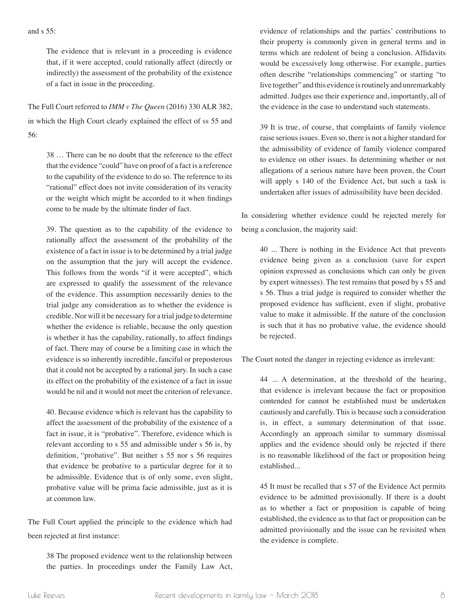The evidence that is relevant in a proceeding is evidence that, if it were accepted, could rationally affect (directly or indirectly) the assessment of the probability of the existence of a fact in issue in the proceeding.

The Full Court referred to *IMM v The Queen* (2016) 330 ALR 382, in which the High Court clearly explained the effect of ss 55 and 56:

38 … There can be no doubt that the reference to the effect that the evidence "could" have on proof of a fact is a reference to the capability of the evidence to do so. The reference to its "rational" effect does not invite consideration of its veracity or the weight which might be accorded to it when findings come to be made by the ultimate finder of fact.

39. The question as to the capability of the evidence to rationally affect the assessment of the probability of the existence of a fact in issue is to be determined by a trial judge on the assumption that the jury will accept the evidence. This follows from the words "if it were accepted", which are expressed to qualify the assessment of the relevance of the evidence. This assumption necessarily denies to the trial judge any consideration as to whether the evidence is credible. Nor will it be necessary for a trial judge to determine whether the evidence is reliable, because the only question is whether it has the capability, rationally, to affect findings of fact. There may of course be a limiting case in which the evidence is so inherently incredible, fanciful or preposterous that it could not be accepted by a rational jury. In such a case its effect on the probability of the existence of a fact in issue would be nil and it would not meet the criterion of relevance.

40. Because evidence which is relevant has the capability to affect the assessment of the probability of the existence of a fact in issue, it is "probative". Therefore, evidence which is relevant according to s 55 and admissible under s 56 is, by definition, "probative". But neither s 55 nor s 56 requires that evidence be probative to a particular degree for it to be admissible. Evidence that is of only some, even slight, probative value will be prima facie admissible, just as it is at common law.

The Full Court applied the principle to the evidence which had been rejected at first instance:

38 The proposed evidence went to the relationship between the parties. In proceedings under the Family Law Act, evidence of relationships and the parties' contributions to their property is commonly given in general terms and in terms which are redolent of being a conclusion. Affidavits would be excessively long otherwise. For example, parties often describe "relationships commencing" or starting "to live together" and this evidence is routinely and unremarkably admitted. Judges use their experience and, importantly, all of the evidence in the case to understand such statements.

39 It is true, of course, that complaints of family violence raise serious issues. Even so, there is not a higher standard for the admissibility of evidence of family violence compared to evidence on other issues. In determining whether or not allegations of a serious nature have been proven, the Court will apply s 140 of the Evidence Act, but such a task is undertaken after issues of admissibility have been decided.

In considering whether evidence could be rejected merely for being a conclusion, the majority said:

40 ... There is nothing in the Evidence Act that prevents evidence being given as a conclusion (save for expert opinion expressed as conclusions which can only be given by expert witnesses). The test remains that posed by s 55 and s 56. Thus a trial judge is required to consider whether the proposed evidence has sufficient, even if slight, probative value to make it admissible. If the nature of the conclusion is such that it has no probative value, the evidence should be rejected.

The Court noted the danger in rejecting evidence as irrelevant:

44 ... A determination, at the threshold of the hearing, that evidence is irrelevant because the fact or proposition contended for cannot be established must be undertaken cautiously and carefully. This is because such a consideration is, in effect, a summary determination of that issue. Accordingly an approach similar to summary dismissal applies and the evidence should only be rejected if there is no reasonable likelihood of the fact or proposition being established...

45 It must be recalled that s 57 of the Evidence Act permits evidence to be admitted provisionally. If there is a doubt as to whether a fact or proposition is capable of being established, the evidence as to that fact or proposition can be admitted provisionally and the issue can be revisited when the evidence is complete.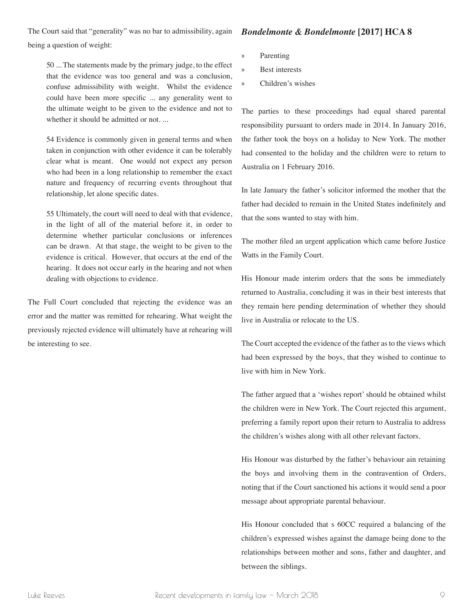The Court said that "generality" was no bar to admissibility, again being a question of weight:

50 ... The statements made by the primary judge, to the effect that the evidence was too general and was a conclusion, confuse admissibility with weight. Whilst the evidence could have been more specific ... any generality went to the ultimate weight to be given to the evidence and not to whether it should be admitted or not. ...

54 Evidence is commonly given in general terms and when taken in conjunction with other evidence it can be tolerably clear what is meant. One would not expect any person who had been in a long relationship to remember the exact nature and frequency of recurring events throughout that relationship, let alone specific dates.

55 Ultimately, the court will need to deal with that evidence, in the light of all of the material before it, in order to determine whether particular conclusions or inferences can be drawn. At that stage, the weight to be given to the evidence is critical. However, that occurs at the end of the hearing. It does not occur early in the hearing and not when dealing with objections to evidence.

The Full Court concluded that rejecting the evidence was an error and the matter was remitted for rehearing. What weight the previously rejected evidence will ultimately have at rehearing will be interesting to see.

- » Parenting
- » Best interests
- » Children's wishes

The parties to these proceedings had equal shared parental responsibility pursuant to orders made in 2014. In January 2016, the father took the boys on a holiday to New York. The mother had consented to the holiday and the children were to return to Australia on 1 February 2016.

In late January the father's solicitor informed the mother that the father had decided to remain in the United States indefinitely and that the sons wanted to stay with him.

The mother filed an urgent application which came before Justice Watts in the Family Court.

His Honour made interim orders that the sons be immediately returned to Australia, concluding it was in their best interests that they remain here pending determination of whether they should live in Australia or relocate to the US.

The Court accepted the evidence of the father as to the views which had been expressed by the boys, that they wished to continue to live with him in New York.

The father argued that a 'wishes report' should be obtained whilst the children were in New York. The Court rejected this argument, preferring a family report upon their return to Australia to address the children's wishes along with all other relevant factors.

His Honour was disturbed by the father's behaviour ain retaining the boys and involving them in the contravention of Orders, noting that if the Court sanctioned his actions it would send a poor message about appropriate parental behaviour.

His Honour concluded that s 60CC required a balancing of the children's expressed wishes against the damage being done to the relationships between mother and sons, father and daughter, and between the siblings.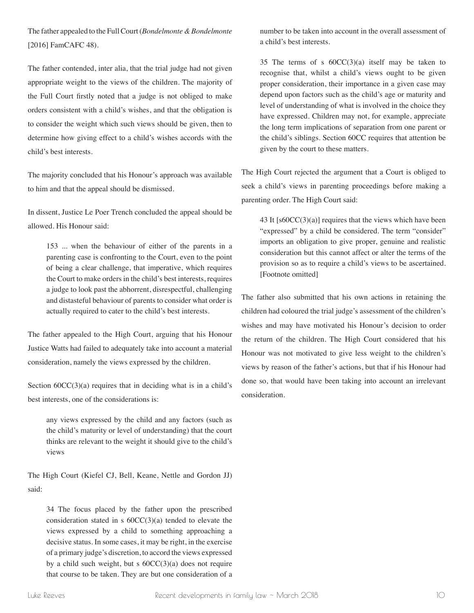The father appealed to the Full Court (*Bondelmonte & Bondelmonte*  [2016] FamCAFC 48).

The father contended, inter alia, that the trial judge had not given appropriate weight to the views of the children. The majority of the Full Court firstly noted that a judge is not obliged to make orders consistent with a child's wishes, and that the obligation is to consider the weight which such views should be given, then to determine how giving effect to a child's wishes accords with the child's best interests.

The majority concluded that his Honour's approach was available to him and that the appeal should be dismissed.

In dissent, Justice Le Poer Trench concluded the appeal should be allowed. His Honour said:

153 ... when the behaviour of either of the parents in a parenting case is confronting to the Court, even to the point of being a clear challenge, that imperative, which requires the Court to make orders in the child's best interests, requires a judge to look past the abhorrent, disrespectful, challenging and distasteful behaviour of parents to consider what order is actually required to cater to the child's best interests.

The father appealed to the High Court, arguing that his Honour Justice Watts had failed to adequately take into account a material consideration, namely the views expressed by the children.

Section  $60CC(3)(a)$  requires that in deciding what is in a child's best interests, one of the considerations is:

any views expressed by the child and any factors (such as the child's maturity or level of understanding) that the court thinks are relevant to the weight it should give to the child's views

The High Court (Kiefel CJ, Bell, Keane, Nettle and Gordon JJ) said:

34 The focus placed by the father upon the prescribed consideration stated in s  $60CC(3)(a)$  tended to elevate the views expressed by a child to something approaching a decisive status. In some cases, it may be right, in the exercise of a primary judge's discretion, to accord the views expressed by a child such weight, but s  $60CC(3)(a)$  does not require that course to be taken. They are but one consideration of a number to be taken into account in the overall assessment of a child's best interests.

35 The terms of s  $60CC(3)(a)$  itself may be taken to recognise that, whilst a child's views ought to be given proper consideration, their importance in a given case may depend upon factors such as the child's age or maturity and level of understanding of what is involved in the choice they have expressed. Children may not, for example, appreciate the long term implications of separation from one parent or the child's siblings. Section 60CC requires that attention be given by the court to these matters.

The High Court rejected the argument that a Court is obliged to seek a child's views in parenting proceedings before making a parenting order. The High Court said:

43 It  $[860CC(3)(a)]$  requires that the views which have been "expressed" by a child be considered. The term "consider" imports an obligation to give proper, genuine and realistic consideration but this cannot affect or alter the terms of the provision so as to require a child's views to be ascertained. [Footnote omitted]

The father also submitted that his own actions in retaining the children had coloured the trial judge's assessment of the children's wishes and may have motivated his Honour's decision to order the return of the children. The High Court considered that his Honour was not motivated to give less weight to the children's views by reason of the father's actions, but that if his Honour had done so, that would have been taking into account an irrelevant consideration.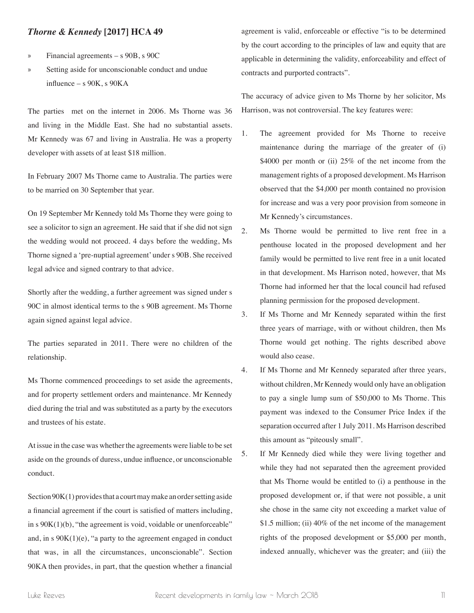# *Thorne & Kennedy* **[2017] HCA 49**

- » Financial agreements s 90B, s 90C
- » Setting aside for unconscionable conduct and undue influence – s  $90K$ , s  $90KA$

The parties met on the internet in 2006. Ms Thorne was 36 and living in the Middle East. She had no substantial assets. Mr Kennedy was 67 and living in Australia. He was a property developer with assets of at least \$18 million.

In February 2007 Ms Thorne came to Australia. The parties were to be married on 30 September that year.

On 19 September Mr Kennedy told Ms Thorne they were going to see a solicitor to sign an agreement. He said that if she did not sign the wedding would not proceed. 4 days before the wedding, Ms Thorne signed a 'pre-nuptial agreement' under s 90B. She received legal advice and signed contrary to that advice.

Shortly after the wedding, a further agreement was signed under s 90C in almost identical terms to the s 90B agreement. Ms Thorne again signed against legal advice.

The parties separated in 2011. There were no children of the relationship.

Ms Thorne commenced proceedings to set aside the agreements, and for property settlement orders and maintenance. Mr Kennedy died during the trial and was substituted as a party by the executors and trustees of his estate.

At issue in the case was whether the agreements were liable to be set aside on the grounds of duress, undue influence, or unconscionable conduct.

Section 90K(1) provides that a court may make an order setting aside a financial agreement if the court is satisfied of matters including, in  $s$  90 $K(1)(b)$ , "the agreement is void, voidable or unenforceable" and, in s  $90K(1)(e)$ , "a party to the agreement engaged in conduct that was, in all the circumstances, unconscionable". Section 90KA then provides, in part, that the question whether a financial

agreement is valid, enforceable or effective "is to be determined by the court according to the principles of law and equity that are applicable in determining the validity, enforceability and effect of contracts and purported contracts".

The accuracy of advice given to Ms Thorne by her solicitor, Ms Harrison, was not controversial. The key features were:

- 1. The agreement provided for Ms Thorne to receive maintenance during the marriage of the greater of (i) \$4000 per month or (ii) 25% of the net income from the management rights of a proposed development. Ms Harrison observed that the \$4,000 per month contained no provision for increase and was a very poor provision from someone in Mr Kennedy's circumstances.
- 2. Ms Thorne would be permitted to live rent free in a penthouse located in the proposed development and her family would be permitted to live rent free in a unit located in that development. Ms Harrison noted, however, that Ms Thorne had informed her that the local council had refused planning permission for the proposed development.
- 3. If Ms Thorne and Mr Kennedy separated within the first three years of marriage, with or without children, then Ms Thorne would get nothing. The rights described above would also cease.
- 4. If Ms Thorne and Mr Kennedy separated after three years, without children, Mr Kennedy would only have an obligation to pay a single lump sum of \$50,000 to Ms Thorne. This payment was indexed to the Consumer Price Index if the separation occurred after 1 July 2011. Ms Harrison described this amount as "piteously small".
- 5. If Mr Kennedy died while they were living together and while they had not separated then the agreement provided that Ms Thorne would be entitled to (i) a penthouse in the proposed development or, if that were not possible, a unit she chose in the same city not exceeding a market value of \$1.5 million; (ii) 40% of the net income of the management rights of the proposed development or \$5,000 per month, indexed annually, whichever was the greater; and (iii) the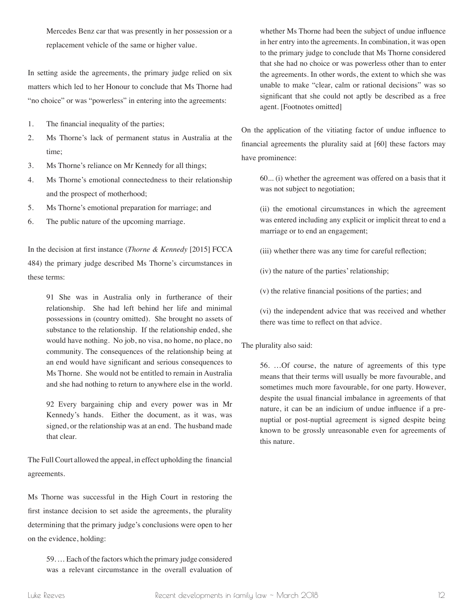Mercedes Benz car that was presently in her possession or a replacement vehicle of the same or higher value.

In setting aside the agreements, the primary judge relied on six matters which led to her Honour to conclude that Ms Thorne had "no choice" or was "powerless" in entering into the agreements:

- 1. The financial inequality of the parties;
- 2. Ms Thorne's lack of permanent status in Australia at the time;
- 3. Ms Thorne's reliance on Mr Kennedy for all things;
- 4. Ms Thorne's emotional connectedness to their relationship and the prospect of motherhood;
- 5. Ms Thorne's emotional preparation for marriage; and
- 6. The public nature of the upcoming marriage.

In the decision at first instance (*Thorne & Kennedy* [2015] FCCA 484) the primary judge described Ms Thorne's circumstances in these terms:

91 She was in Australia only in furtherance of their relationship. She had left behind her life and minimal possessions in (country omitted). She brought no assets of substance to the relationship. If the relationship ended, she would have nothing. No job, no visa, no home, no place, no community. The consequences of the relationship being at an end would have significant and serious consequences to Ms Thorne. She would not be entitled to remain in Australia and she had nothing to return to anywhere else in the world.

92 Every bargaining chip and every power was in Mr Kennedy's hands. Either the document, as it was, was signed, or the relationship was at an end. The husband made that clear.

The Full Court allowed the appeal, in effect upholding the financial agreements.

Ms Thorne was successful in the High Court in restoring the first instance decision to set aside the agreements, the plurality determining that the primary judge's conclusions were open to her on the evidence, holding:

59. … Each of the factors which the primary judge considered was a relevant circumstance in the overall evaluation of

whether Ms Thorne had been the subject of undue influence in her entry into the agreements. In combination, it was open to the primary judge to conclude that Ms Thorne considered that she had no choice or was powerless other than to enter the agreements. In other words, the extent to which she was unable to make "clear, calm or rational decisions" was so significant that she could not aptly be described as a free agent. [Footnotes omitted]

On the application of the vitiating factor of undue influence to financial agreements the plurality said at [60] these factors may have prominence:

60... (i) whether the agreement was offered on a basis that it was not subject to negotiation;

(ii) the emotional circumstances in which the agreement was entered including any explicit or implicit threat to end a marriage or to end an engagement;

(iii) whether there was any time for careful reflection;

(iv) the nature of the parties' relationship;

(v) the relative financial positions of the parties; and

(vi) the independent advice that was received and whether there was time to reflect on that advice.

The plurality also said:

56. …Of course, the nature of agreements of this type means that their terms will usually be more favourable, and sometimes much more favourable, for one party. However, despite the usual financial imbalance in agreements of that nature, it can be an indicium of undue influence if a prenuptial or post-nuptial agreement is signed despite being known to be grossly unreasonable even for agreements of this nature.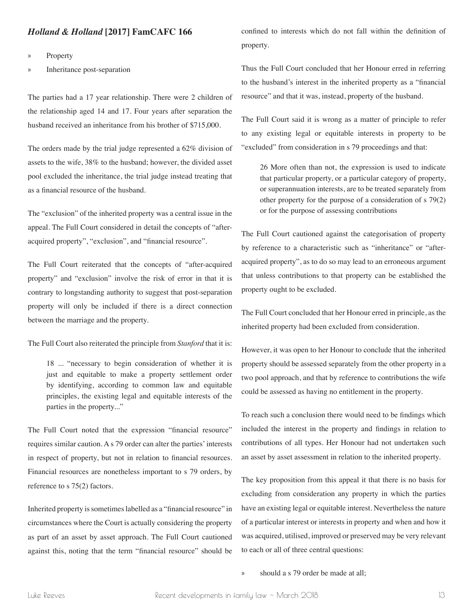# *Holland & Holland* **[2017] FamCAFC 166**

» Property

Inheritance post-separation

The parties had a 17 year relationship. There were 2 children of the relationship aged 14 and 17. Four years after separation the husband received an inheritance from his brother of \$715,000.

The orders made by the trial judge represented a 62% division of assets to the wife, 38% to the husband; however, the divided asset pool excluded the inheritance, the trial judge instead treating that as a financial resource of the husband.

The "exclusion" of the inherited property was a central issue in the appeal. The Full Court considered in detail the concepts of "afteracquired property", "exclusion", and "financial resource".

The Full Court reiterated that the concepts of "after-acquired property" and "exclusion" involve the risk of error in that it is contrary to longstanding authority to suggest that post-separation property will only be included if there is a direct connection between the marriage and the property.

The Full Court also reiterated the principle from *Stanford* that it is:

18 ... "necessary to begin consideration of whether it is just and equitable to make a property settlement order by identifying, according to common law and equitable principles, the existing legal and equitable interests of the parties in the property..."

The Full Court noted that the expression "financial resource" requires similar caution. A s 79 order can alter the parties' interests in respect of property, but not in relation to financial resources. Financial resources are nonetheless important to s 79 orders, by reference to s 75(2) factors.

Inherited property is sometimes labelled as a "financial resource" in circumstances where the Court is actually considering the property as part of an asset by asset approach. The Full Court cautioned against this, noting that the term "financial resource" should be confined to interests which do not fall within the definition of property.

Thus the Full Court concluded that her Honour erred in referring to the husband's interest in the inherited property as a "financial resource" and that it was, instead, property of the husband.

The Full Court said it is wrong as a matter of principle to refer to any existing legal or equitable interests in property to be "excluded" from consideration in s 79 proceedings and that:

26 More often than not, the expression is used to indicate that particular property, or a particular category of property, or superannuation interests, are to be treated separately from other property for the purpose of a consideration of s 79(2) or for the purpose of assessing contributions

The Full Court cautioned against the categorisation of property by reference to a characteristic such as "inheritance" or "afteracquired property", as to do so may lead to an erroneous argument that unless contributions to that property can be established the property ought to be excluded.

The Full Court concluded that her Honour erred in principle, as the inherited property had been excluded from consideration.

However, it was open to her Honour to conclude that the inherited property should be assessed separately from the other property in a two pool approach, and that by reference to contributions the wife could be assessed as having no entitlement in the property.

To reach such a conclusion there would need to be findings which included the interest in the property and findings in relation to contributions of all types. Her Honour had not undertaken such an asset by asset assessment in relation to the inherited property.

The key proposition from this appeal it that there is no basis for excluding from consideration any property in which the parties have an existing legal or equitable interest. Nevertheless the nature of a particular interest or interests in property and when and how it was acquired, utilised, improved or preserved may be very relevant to each or all of three central questions:

» should a s 79 order be made at all;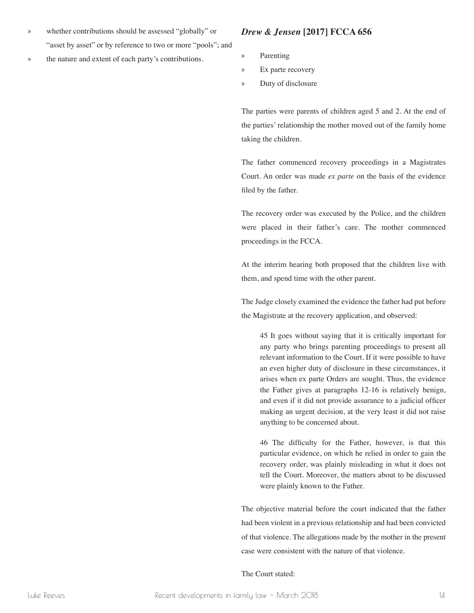- » whether contributions should be assessed "globally" or "asset by asset" or by reference to two or more "pools"; and
- » the nature and extent of each party's contributions.

# *Drew & Jensen* **[2017] FCCA 656**

- » Parenting
- » Ex parte recovery
- » Duty of disclosure

The parties were parents of children aged 5 and 2. At the end of the parties' relationship the mother moved out of the family home taking the children.

The father commenced recovery proceedings in a Magistrates Court. An order was made *ex parte* on the basis of the evidence filed by the father.

The recovery order was executed by the Police, and the children were placed in their father's care. The mother commenced proceedings in the FCCA.

At the interim hearing both proposed that the children live with them, and spend time with the other parent.

The Judge closely examined the evidence the father had put before the Magistrate at the recovery application, and observed:

45 It goes without saying that it is critically important for any party who brings parenting proceedings to present all relevant information to the Court. If it were possible to have an even higher duty of disclosure in these circumstances, it arises when ex parte Orders are sought. Thus, the evidence the Father gives at paragraphs 12-16 is relatively benign, and even if it did not provide assurance to a judicial officer making an urgent decision, at the very least it did not raise anything to be concerned about.

46 The difficulty for the Father, however, is that this particular evidence, on which he relied in order to gain the recovery order, was plainly misleading in what it does not tell the Court. Moreover, the matters about to be discussed were plainly known to the Father.

The objective material before the court indicated that the father had been violent in a previous relationship and had been convicted of that violence. The allegations made by the mother in the present case were consistent with the nature of that violence.

The Court stated: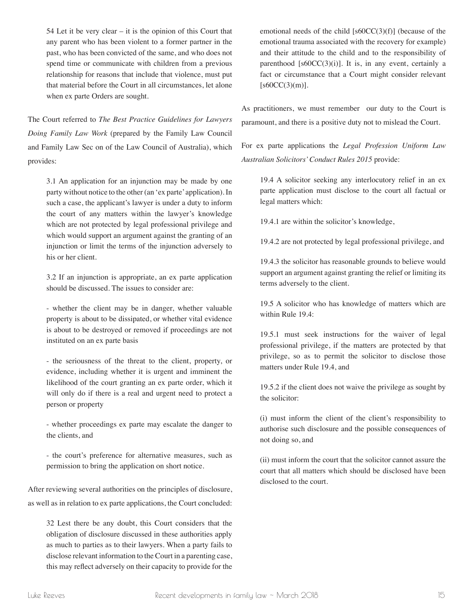54 Let it be very clear – it is the opinion of this Court that any parent who has been violent to a former partner in the past, who has been convicted of the same, and who does not spend time or communicate with children from a previous relationship for reasons that include that violence, must put that material before the Court in all circumstances, let alone when ex parte Orders are sought.

The Court referred to *The Best Practice Guidelines for Lawyers Doing Family Law Work* (prepared by the Family Law Council and Family Law Sec on of the Law Council of Australia), which provides:

3.1 An application for an injunction may be made by one party without notice to the other (an 'ex parte' application). In such a case, the applicant's lawyer is under a duty to inform the court of any matters within the lawyer's knowledge which are not protected by legal professional privilege and which would support an argument against the granting of an injunction or limit the terms of the injunction adversely to his or her client.

3.2 If an injunction is appropriate, an ex parte application should be discussed. The issues to consider are:

- whether the client may be in danger, whether valuable property is about to be dissipated, or whether vital evidence is about to be destroyed or removed if proceedings are not instituted on an ex parte basis

- the seriousness of the threat to the client, property, or evidence, including whether it is urgent and imminent the likelihood of the court granting an ex parte order, which it will only do if there is a real and urgent need to protect a person or property

- whether proceedings ex parte may escalate the danger to the clients, and

- the court's preference for alternative measures, such as permission to bring the application on short notice.

After reviewing several authorities on the principles of disclosure, as well as in relation to ex parte applications, the Court concluded:

32 Lest there be any doubt, this Court considers that the obligation of disclosure discussed in these authorities apply as much to parties as to their lawyers. When a party fails to disclose relevant information to the Court in a parenting case, this may reflect adversely on their capacity to provide for the

emotional needs of the child [s60CC(3)(f)] (because of the emotional trauma associated with the recovery for example) and their attitude to the child and to the responsibility of parenthood  $[*s60CC*(3)(i)]$ . It is, in any event, certainly a fact or circumstance that a Court might consider relevant  $[s60CC(3)(m)].$ 

As practitioners, we must remember our duty to the Court is paramount, and there is a positive duty not to mislead the Court.

For ex parte applications the *Legal Profession Uniform Law Australian Solicitors' Conduct Rules 2015* provide:

19.4 A solicitor seeking any interlocutory relief in an ex parte application must disclose to the court all factual or legal matters which:

19.4.1 are within the solicitor's knowledge,

19.4.2 are not protected by legal professional privilege, and

19.4.3 the solicitor has reasonable grounds to believe would support an argument against granting the relief or limiting its terms adversely to the client.

19.5 A solicitor who has knowledge of matters which are within Rule 19.4:

19.5.1 must seek instructions for the waiver of legal professional privilege, if the matters are protected by that privilege, so as to permit the solicitor to disclose those matters under Rule 19.4, and

19.5.2 if the client does not waive the privilege as sought by the solicitor:

(i) must inform the client of the client's responsibility to authorise such disclosure and the possible consequences of not doing so, and

(ii) must inform the court that the solicitor cannot assure the court that all matters which should be disclosed have been disclosed to the court.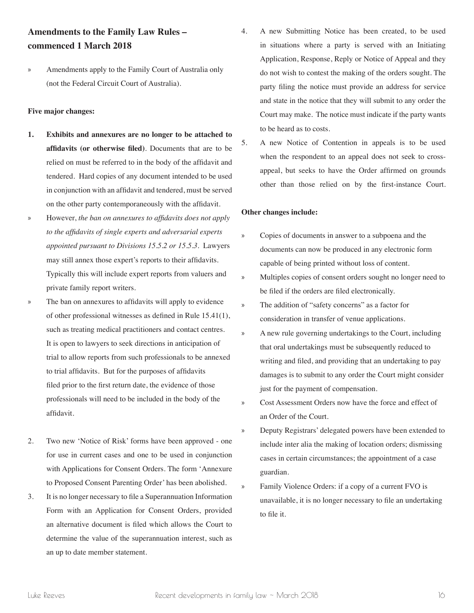# **Amendments to the Family Law Rules – commenced 1 March 2018**

» Amendments apply to the Family Court of Australia only (not the Federal Circuit Court of Australia).

#### **Five major changes:**

- **1. Exhibits and annexures are no longer to be attached to affidavits (or otherwise filed)**. Documents that are to be relied on must be referred to in the body of the affidavit and tendered. Hard copies of any document intended to be used in conjunction with an affidavit and tendered, must be served on the other party contemporaneously with the affidavit.
- » However, *the ban on annexures to affidavits does not apply to the affidavits of single experts and adversarial experts appointed pursuant to Divisions 15.5.2 or 15.5.3*. Lawyers may still annex those expert's reports to their affidavits. Typically this will include expert reports from valuers and private family report writers.
- » The ban on annexures to affidavits will apply to evidence of other professional witnesses as defined in Rule 15.41(1), such as treating medical practitioners and contact centres. It is open to lawyers to seek directions in anticipation of trial to allow reports from such professionals to be annexed to trial affidavits. But for the purposes of affidavits filed prior to the first return date, the evidence of those professionals will need to be included in the body of the affidavit.
- 2. Two new 'Notice of Risk' forms have been approved one for use in current cases and one to be used in conjunction with Applications for Consent Orders. The form 'Annexure to Proposed Consent Parenting Order' has been abolished.
- 3. It is no longer necessary to file a Superannuation Information Form with an Application for Consent Orders, provided an alternative document is filed which allows the Court to determine the value of the superannuation interest, such as an up to date member statement.
- 4. A new Submitting Notice has been created, to be used in situations where a party is served with an Initiating Application, Response, Reply or Notice of Appeal and they do not wish to contest the making of the orders sought. The party filing the notice must provide an address for service and state in the notice that they will submit to any order the Court may make. The notice must indicate if the party wants to be heard as to costs.
- 5. A new Notice of Contention in appeals is to be used when the respondent to an appeal does not seek to crossappeal, but seeks to have the Order affirmed on grounds other than those relied on by the first-instance Court.

#### **Other changes include:**

- » Copies of documents in answer to a subpoena and the documents can now be produced in any electronic form capable of being printed without loss of content.
- » Multiples copies of consent orders sought no longer need to be filed if the orders are filed electronically.
- » The addition of "safety concerns" as a factor for consideration in transfer of venue applications.
- » A new rule governing undertakings to the Court, including that oral undertakings must be subsequently reduced to writing and filed, and providing that an undertaking to pay damages is to submit to any order the Court might consider just for the payment of compensation.
- Cost Assessment Orders now have the force and effect of an Order of the Court.
- » Deputy Registrars' delegated powers have been extended to include inter alia the making of location orders; dismissing cases in certain circumstances; the appointment of a case guardian.
- » Family Violence Orders: if a copy of a current FVO is unavailable, it is no longer necessary to file an undertaking to file it.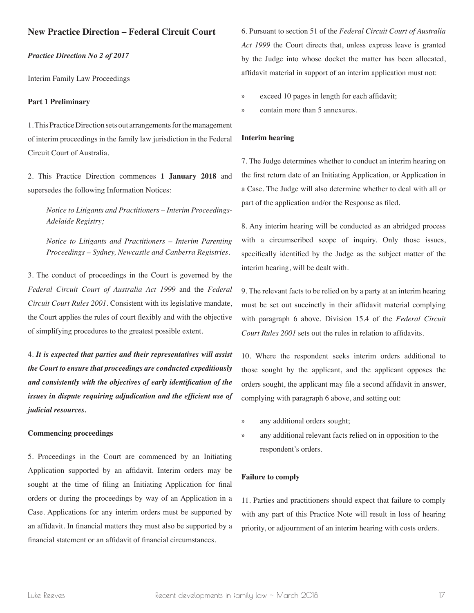# **New Practice Direction – Federal Circuit Court**

# *Practice Direction No 2 of 2017*

Interim Family Law Proceedings

#### **Part 1 Preliminary**

1. This Practice Direction sets out arrangements for the management of interim proceedings in the family law jurisdiction in the Federal Circuit Court of Australia.

2. This Practice Direction commences **1 January 2018** and supersedes the following Information Notices:

*Notice to Litigants and Practitioners – Interim Proceedings-Adelaide Registry;*

*Notice to Litigants and Practitioners – Interim Parenting Proceedings – Sydney, Newcastle and Canberra Registries.*

3. The conduct of proceedings in the Court is governed by the *Federal Circuit Court of Australia Act 1999* and the *Federal Circuit Court Rules 2001*. Consistent with its legislative mandate, the Court applies the rules of court flexibly and with the objective of simplifying procedures to the greatest possible extent.

4. *It is expected that parties and their representatives will assist the Court to ensure that proceedings are conducted expeditiously and consistently with the objectives of early identification of the issues in dispute requiring adjudication and the efficient use of judicial resources.*

#### **Commencing proceedings**

5. Proceedings in the Court are commenced by an Initiating Application supported by an affidavit. Interim orders may be sought at the time of filing an Initiating Application for final orders or during the proceedings by way of an Application in a Case. Applications for any interim orders must be supported by an affidavit. In financial matters they must also be supported by a financial statement or an affidavit of financial circumstances.

6. Pursuant to section 51 of the *Federal Circuit Court of Australia Act 1999* the Court directs that, unless express leave is granted by the Judge into whose docket the matter has been allocated, affidavit material in support of an interim application must not:

» exceed 10 pages in length for each affidavit;

» contain more than 5 annexures.

#### **Interim hearing**

7. The Judge determines whether to conduct an interim hearing on the first return date of an Initiating Application, or Application in a Case. The Judge will also determine whether to deal with all or part of the application and/or the Response as filed.

8. Any interim hearing will be conducted as an abridged process with a circumscribed scope of inquiry. Only those issues, specifically identified by the Judge as the subject matter of the interim hearing, will be dealt with.

9. The relevant facts to be relied on by a party at an interim hearing must be set out succinctly in their affidavit material complying with paragraph 6 above. Division 15.4 of the *Federal Circuit Court Rules 2001* sets out the rules in relation to affidavits.

10. Where the respondent seeks interim orders additional to those sought by the applicant, and the applicant opposes the orders sought, the applicant may file a second affidavit in answer, complying with paragraph 6 above, and setting out:

- » any additional orders sought;
- any additional relevant facts relied on in opposition to the respondent's orders.

#### **Failure to comply**

11. Parties and practitioners should expect that failure to comply with any part of this Practice Note will result in loss of hearing priority, or adjournment of an interim hearing with costs orders.